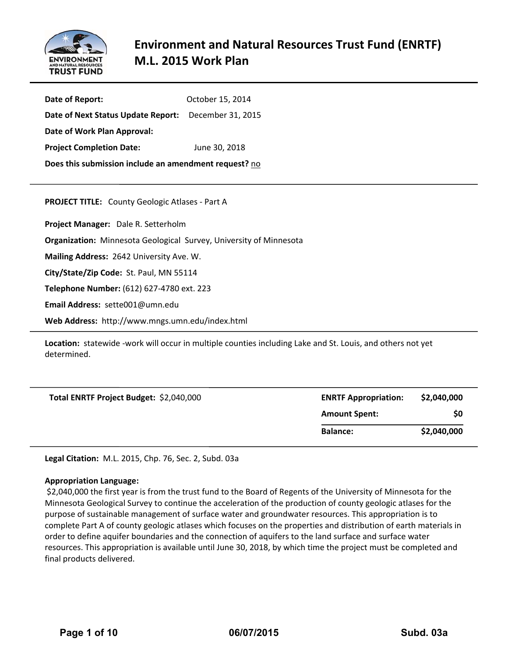

# **Environment and Natural Resources Trust Fund (ENRTF) M.L. 2015 Work Plan**

| Date of Report:                                       | October 15, 2014 |  |  |  |
|-------------------------------------------------------|------------------|--|--|--|
| Date of Next Status Update Report: December 31, 2015  |                  |  |  |  |
| Date of Work Plan Approval:                           |                  |  |  |  |
| <b>Project Completion Date:</b>                       | June 30, 2018    |  |  |  |
| Does this submission include an amendment request? no |                  |  |  |  |
|                                                       |                  |  |  |  |

**PROJECT TITLE:** County Geologic Atlases ‐ Part A

**Project Manager:**  Dale R. Setterholm

**Organization:** Minnesota Geological Survey, University of Minnesota

**Mailing Address:** 2642 University Ave. W.

**City/State/Zip Code:** St. Paul, MN 55114

**Telephone Number:** (612) 627‐4780 ext. 223

**Email Address:** sette001@umn.edu

**Web Address:** http://www.mngs.umn.edu/index.html

Location: statewide -work will occur in multiple counties including Lake and St. Louis, and others not yet determined.

| Total ENRTF Project Budget: \$2,040,000 | <b>ENRTF Appropriation:</b> | \$2,040,000 |
|-----------------------------------------|-----------------------------|-------------|
|                                         | <b>Amount Spent:</b>        | \$0         |
|                                         | <b>Balance:</b>             | \$2,040,000 |

**Legal Citation:** M.L. 2015, Chp. 76, Sec. 2, Subd. 03a

#### **Appropriation Language:**

\$2,040,000 the first year is from the trust fund to the Board of Regents of the University of Minnesota for the Minnesota Geological Survey to continue the acceleration of the production of county geologic atlases for the purpose of sustainable management of surface water and groundwater resources. This appropriation is to complete Part A of county geologic atlases which focuses on the properties and distribution of earth materials in order to define aquifer boundaries and the connection of aquifers to the land surface and surface water resources. This appropriation is available until June 30, 2018, by which time the project must be completed and final products delivered.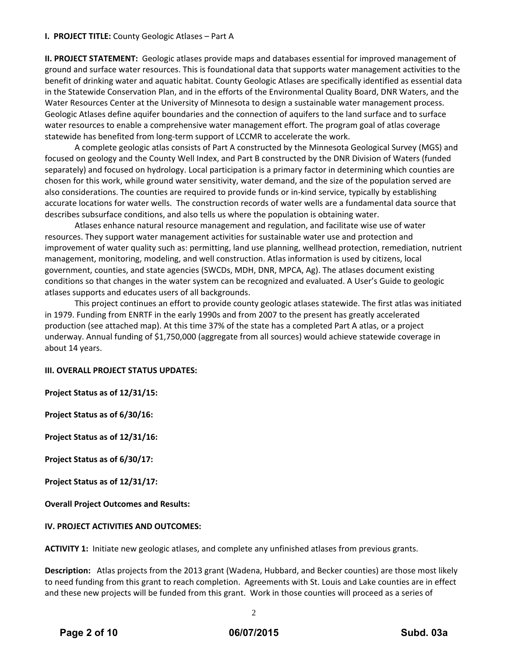# **I. PROJECT TITLE:** County Geologic Atlases – Part A

**II. PROJECT STATEMENT:** Geologic atlases provide maps and databases essential for improved management of ground and surface water resources. This is foundational data that supports water management activities to the benefit of drinking water and aquatic habitat. County Geologic Atlases are specifically identified as essential data in the Statewide Conservation Plan, and in the efforts of the Environmental Quality Board, DNR Waters, and the Water Resources Center at the University of Minnesota to design a sustainable water management process. Geologic Atlases define aquifer boundaries and the connection of aquifers to the land surface and to surface water resources to enable a comprehensive water management effort. The program goal of atlas coverage statewide has benefited from long‐term support of LCCMR to accelerate the work.

A complete geologic atlas consists of Part A constructed by the Minnesota Geological Survey (MGS) and focused on geology and the County Well Index, and Part B constructed by the DNR Division of Waters (funded separately) and focused on hydrology. Local participation is a primary factor in determining which counties are chosen for this work, while ground water sensitivity, water demand, and the size of the population served are also considerations. The counties are required to provide funds or in‐kind service, typically by establishing accurate locations for water wells. The construction records of water wells are a fundamental data source that describes subsurface conditions, and also tells us where the population is obtaining water.

Atlases enhance natural resource management and regulation, and facilitate wise use of water resources. They support water management activities for sustainable water use and protection and improvement of water quality such as: permitting, land use planning, wellhead protection, remediation, nutrient management, monitoring, modeling, and well construction. Atlas information is used by citizens, local government, counties, and state agencies (SWCDs, MDH, DNR, MPCA, Ag). The atlases document existing conditions so that changes in the water system can be recognized and evaluated. A User's Guide to geologic atlases supports and educates users of all backgrounds.

This project continues an effort to provide county geologic atlases statewide. The first atlas was initiated in 1979. Funding from ENRTF in the early 1990s and from 2007 to the present has greatly accelerated production (see attached map). At this time 37% of the state has a completed Part A atlas, or a project underway. Annual funding of \$1,750,000 (aggregate from all sources) would achieve statewide coverage in about 14 years.

#### **III. OVERALL PROJECT STATUS UPDATES:**

**Project Status as of 12/31/15:**

**Project Status as of 6/30/16:**

**Project Status as of 12/31/16:**

**Project Status as of 6/30/17:**

**Project Status as of 12/31/17:**

**Overall Project Outcomes and Results:**

#### **IV. PROJECT ACTIVITIES AND OUTCOMES:**

**ACTIVITY 1:** Initiate new geologic atlases, and complete any unfinished atlases from previous grants.

**Description:** Atlas projects from the 2013 grant (Wadena, Hubbard, and Becker counties) are those most likely to need funding from this grant to reach completion. Agreements with St. Louis and Lake counties are in effect and these new projects will be funded from this grant. Work in those counties will proceed as a series of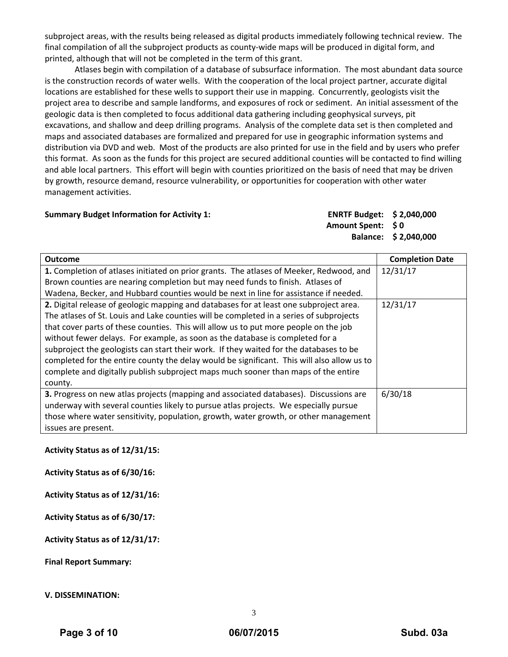subproject areas, with the results being released as digital products immediately following technical review. The final compilation of all the subproject products as county-wide maps will be produced in digital form, and printed, although that will not be completed in the term of this grant.

Atlases begin with compilation of a database of subsurface information. The most abundant data source is the construction records of water wells. With the cooperation of the local project partner, accurate digital locations are established for these wells to support their use in mapping. Concurrently, geologists visit the project area to describe and sample landforms, and exposures of rock or sediment. An initial assessment of the geologic data is then completed to focus additional data gathering including geophysical surveys, pit excavations, and shallow and deep drilling programs. Analysis of the complete data set is then completed and maps and associated databases are formalized and prepared for use in geographic information systems and distribution via DVD and web. Most of the products are also printed for use in the field and by users who prefer this format. As soon as the funds for this project are secured additional counties will be contacted to find willing and able local partners. This effort will begin with counties prioritized on the basis of need that may be driven by growth, resource demand, resource vulnerability, or opportunities for cooperation with other water management activities.

#### **Summary Budget Information for Activity 1: ENRTF Budget: \$ 2,040,000**

**Amount Spent: \$ 0 Balance: \$ 2,040,000**

| <b>Outcome</b>                                                                             | <b>Completion Date</b> |
|--------------------------------------------------------------------------------------------|------------------------|
| 1. Completion of atlases initiated on prior grants. The atlases of Meeker, Redwood, and    | 12/31/17               |
| Brown counties are nearing completion but may need funds to finish. Atlases of             |                        |
| Wadena, Becker, and Hubbard counties would be next in line for assistance if needed.       |                        |
| 2. Digital release of geologic mapping and databases for at least one subproject area.     | 12/31/17               |
| The atlases of St. Louis and Lake counties will be completed in a series of subprojects    |                        |
| that cover parts of these counties. This will allow us to put more people on the job       |                        |
| without fewer delays. For example, as soon as the database is completed for a              |                        |
| subproject the geologists can start their work. If they waited for the databases to be     |                        |
| completed for the entire county the delay would be significant. This will also allow us to |                        |
| complete and digitally publish subproject maps much sooner than maps of the entire         |                        |
| county.                                                                                    |                        |
| 3. Progress on new atlas projects (mapping and associated databases). Discussions are      | 6/30/18                |
| underway with several counties likely to pursue atlas projects. We especially pursue       |                        |
| those where water sensitivity, population, growth, water growth, or other management       |                        |
| issues are present.                                                                        |                        |

**Activity Status as of 12/31/15:**

**Activity Status as of 6/30/16:**

**Activity Status as of 12/31/16:**

**Activity Status as of 6/30/17:**

**Activity Status as of 12/31/17:**

**Final Report Summary:**

# **V. DISSEMINATION:**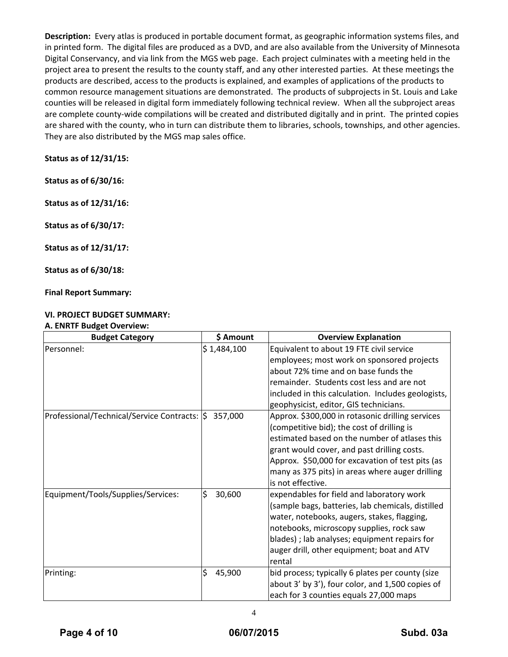**Description:** Every atlas is produced in portable document format, as geographic information systems files, and in printed form. The digital files are produced as a DVD, and are also available from the University of Minnesota Digital Conservancy, and via link from the MGS web page. Each project culminates with a meeting held in the project area to present the results to the county staff, and any other interested parties. At these meetings the products are described, access to the products is explained, and examples of applications of the products to common resource management situations are demonstrated. The products of subprojects in St. Louis and Lake counties will be released in digital form immediately following technical review. When all the subproject areas are complete county-wide compilations will be created and distributed digitally and in print. The printed copies are shared with the county, who in turn can distribute them to libraries, schools, townships, and other agencies. They are also distributed by the MGS map sales office.

# **Status as of 12/31/15:**

**Status as of 6/30/16:**

**Status as of 12/31/16:**

**Status as of 6/30/17:**

**Status as of 12/31/17:**

**Status as of 6/30/18:**

**Final Report Summary:**

# **VI. PROJECT BUDGET SUMMARY:**

#### **A. ENRTF Budget Overview:**

| <b>Budget Category</b>                        | \$ Amount    | <b>Overview Explanation</b>                                                                                                                                                                                                                                                                                                |
|-----------------------------------------------|--------------|----------------------------------------------------------------------------------------------------------------------------------------------------------------------------------------------------------------------------------------------------------------------------------------------------------------------------|
| Personnel:                                    | \$1,484,100  | Equivalent to about 19 FTE civil service<br>employees; most work on sponsored projects<br>about 72% time and on base funds the<br>remainder. Students cost less and are not<br>included in this calculation. Includes geologists,<br>geophysicist, editor, GIS technicians.                                                |
| Professional/Technical/Service Contracts:  \$ | 357,000      | Approx. \$300,000 in rotasonic drilling services<br>(competitive bid); the cost of drilling is<br>estimated based on the number of atlases this<br>grant would cover, and past drilling costs.<br>Approx. \$50,000 for excavation of test pits (as<br>many as 375 pits) in areas where auger drilling<br>is not effective. |
| Equipment/Tools/Supplies/Services:            | \$<br>30,600 | expendables for field and laboratory work<br>(sample bags, batteries, lab chemicals, distilled<br>water, notebooks, augers, stakes, flagging,<br>notebooks, microscopy supplies, rock saw<br>blades); lab analyses; equipment repairs for<br>auger drill, other equipment; boat and ATV<br>rental                          |
| Printing:                                     | \$<br>45,900 | bid process; typically 6 plates per county (size<br>about 3' by 3'), four color, and 1,500 copies of<br>each for 3 counties equals 27,000 maps                                                                                                                                                                             |

4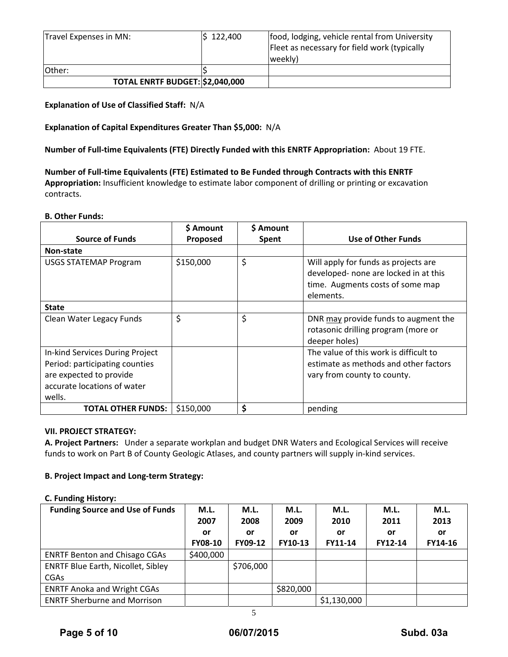| Travel Expenses in MN:          | 5 122,400 | food, lodging, vehicle rental from University<br>Fleet as necessary for field work (typically<br>weekly) |
|---------------------------------|-----------|----------------------------------------------------------------------------------------------------------|
| <b>Other:</b>                   |           |                                                                                                          |
| TOTAL ENRTF BUDGET: \$2,040,000 |           |                                                                                                          |

# **Explanation of Use of Classified Staff:** N/A

# **Explanation of Capital Expenditures Greater Than \$5,000:** N/A

**Number of Full‐time Equivalents (FTE) Directly Funded with this ENRTF Appropriation:** About 19 FTE.

**Number of Full‐time Equivalents (FTE) Estimated to Be Funded through Contracts with this ENRTF Appropriation:** Insufficient knowledge to estimate labor component of drilling or printing or excavation contracts.

#### **B. Other Funds:**

|                                                                                                                                       | \$ Amount | \$ Amount |                                                                                                                                |
|---------------------------------------------------------------------------------------------------------------------------------------|-----------|-----------|--------------------------------------------------------------------------------------------------------------------------------|
| <b>Source of Funds</b>                                                                                                                | Proposed  | Spent     | <b>Use of Other Funds</b>                                                                                                      |
| Non-state                                                                                                                             |           |           |                                                                                                                                |
| <b>USGS STATEMAP Program</b>                                                                                                          | \$150,000 | \$        | Will apply for funds as projects are<br>developed- none are locked in at this<br>time. Augments costs of some map<br>elements. |
| <b>State</b>                                                                                                                          |           |           |                                                                                                                                |
| Clean Water Legacy Funds                                                                                                              | \$        | \$        | DNR may provide funds to augment the<br>rotasonic drilling program (more or<br>deeper holes)                                   |
| In-kind Services During Project<br>Period: participating counties<br>are expected to provide<br>accurate locations of water<br>wells. |           |           | The value of this work is difficult to<br>estimate as methods and other factors<br>vary from county to county.                 |
| <b>TOTAL OTHER FUNDS:</b>                                                                                                             | \$150,000 | \$        | pending                                                                                                                        |

# **VII. PROJECT STRATEGY:**

**A. Project Partners:** Under a separate workplan and budget DNR Waters and Ecological Services will receive funds to work on Part B of County Geologic Atlases, and county partners will supply in-kind services.

# **B. Project Impact and Long‐term Strategy:**

#### **C. Funding History:**

| <b>Funding Source and Use of Funds</b>    | M.L.           | M.L.      | M.L.           | M.L.           | M.L.           | M.L.    |
|-------------------------------------------|----------------|-----------|----------------|----------------|----------------|---------|
|                                           | 2007           | 2008      | 2009           | 2010           | 2011           | 2013    |
|                                           | or             | or        | or             | or             | or             | or      |
|                                           | <b>FY08-10</b> | FY09-12   | <b>FY10-13</b> | <b>FY11-14</b> | <b>FY12-14</b> | FY14-16 |
| <b>ENRTF Benton and Chisago CGAs</b>      | \$400,000      |           |                |                |                |         |
| <b>ENRTF Blue Earth, Nicollet, Sibley</b> |                | \$706,000 |                |                |                |         |
| <b>CGAs</b>                               |                |           |                |                |                |         |
| <b>ENRTF Anoka and Wright CGAs</b>        |                |           | \$820,000      |                |                |         |
| <b>ENRTF Sherburne and Morrison</b>       |                |           |                | \$1,130,000    |                |         |
|                                           |                |           |                |                |                |         |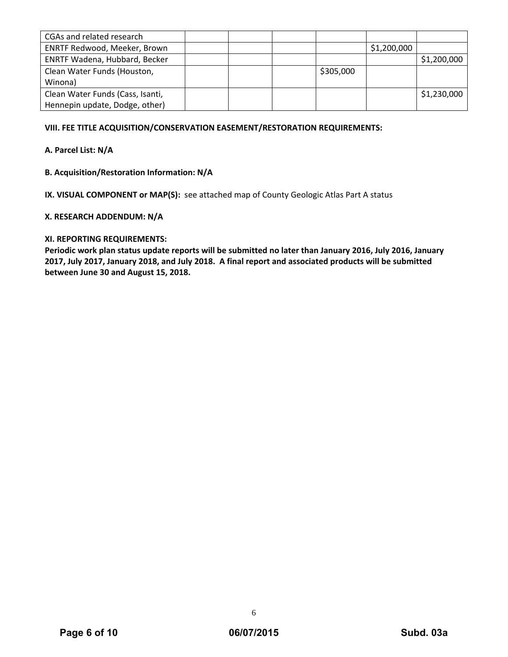| CGAs and related research        |  |           |             |             |
|----------------------------------|--|-----------|-------------|-------------|
| ENRTF Redwood, Meeker, Brown     |  |           | \$1,200,000 |             |
| ENRTF Wadena, Hubbard, Becker    |  |           |             | \$1,200,000 |
| Clean Water Funds (Houston,      |  | \$305,000 |             |             |
| Winona)                          |  |           |             |             |
| Clean Water Funds (Cass, Isanti, |  |           |             | \$1,230,000 |
| Hennepin update, Dodge, other)   |  |           |             |             |

# **VIII. FEE TITLE ACQUISITION/CONSERVATION EASEMENT/RESTORATION REQUIREMENTS:**

# **A. Parcel List: N/A**

# **B. Acquisition/Restoration Information: N/A**

**IX. VISUAL COMPONENT or MAP(S):** see attached map of County Geologic Atlas Part A status

#### **X. RESEARCH ADDENDUM: N/A**

#### **XI. REPORTING REQUIREMENTS:**

**Periodic work plan status update reports will be submitted no later than January 2016, July 2016, January** 2017, July 2017, January 2018, and July 2018. A final report and associated products will be submitted **between June 30 and August 15, 2018.**

6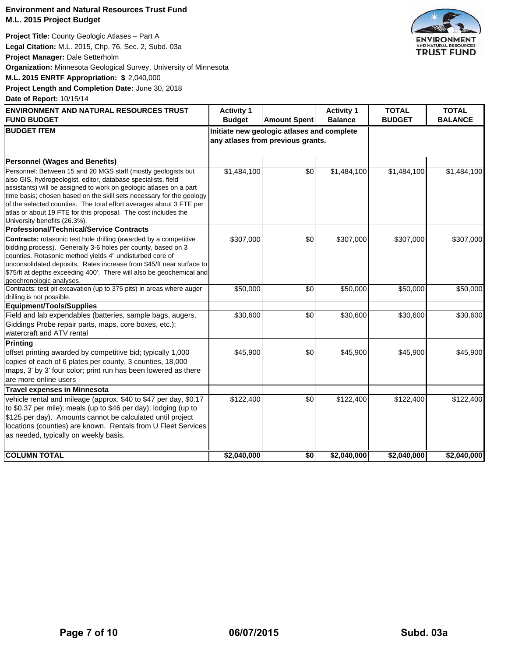# **Environment and Natural Resources Trust Fund M.L. 2015 Project Budget**

**Project Title:** County Geologic Atlases – Part A **Legal Citation:** M.L. 2015, Chp. 76, Sec. 2, Subd. 03a **Project Manager:** Dale Setterholm **Organization:** Minnesota Geological Survey, University of Minnesota **M.L. 2015 ENRTF Appropriation: \$** 2,040,000

**Project Length and Completion Date:** June 30, 2018

**Date of Report:** 10/15/14

| <b>ENVIRONMENT AND NATURAL RESOURCES TRUST</b>                                                                                                                                                                                                                                                                                                                                                                                                        | <b>Activity 1</b>                                                               |                     | <b>Activity 1</b> | <b>TOTAL</b>  | <b>TOTAL</b>   |
|-------------------------------------------------------------------------------------------------------------------------------------------------------------------------------------------------------------------------------------------------------------------------------------------------------------------------------------------------------------------------------------------------------------------------------------------------------|---------------------------------------------------------------------------------|---------------------|-------------------|---------------|----------------|
| <b>FUND BUDGET</b>                                                                                                                                                                                                                                                                                                                                                                                                                                    | <b>Budget</b>                                                                   | <b>Amount Spent</b> | <b>Balance</b>    | <b>BUDGET</b> | <b>BALANCE</b> |
| <b>BUDGET ITEM</b>                                                                                                                                                                                                                                                                                                                                                                                                                                    | Initiate new geologic atlases and complete<br>any atlases from previous grants. |                     |                   |               |                |
| <b>Personnel (Wages and Benefits)</b>                                                                                                                                                                                                                                                                                                                                                                                                                 |                                                                                 |                     |                   |               |                |
| Personnel: Between 15 and 20 MGS staff (mostly geologists but<br>also GIS, hydrogeologist, editor, database specialists, field<br>assistants) will be assigned to work on geologic atlases on a part<br>time basis; chosen based on the skill sets necessary for the geology<br>of the selected counties. The total effort averages about 3 FTE per<br>atlas or about 19 FTE for this proposal. The cost includes the<br>University benefits (26.3%). | \$1,484,100                                                                     | \$0                 | \$1,484,100       | \$1,484,100   | \$1,484,100    |
| <b>Professional/Technical/Service Contracts</b>                                                                                                                                                                                                                                                                                                                                                                                                       |                                                                                 |                     |                   |               |                |
| Contracts: rotasonic test hole drilling (awarded by a competitive<br>bidding process). Generally 3-6 holes per county, based on 3<br>counties. Rotasonic method yields 4" undisturbed core of<br>unconsolidated deposits. Rates increase from \$45/ft near surface to<br>\$75/ft at depths exceeding 400'. There will also be geochemical and<br>geochronologic analyses.                                                                             | \$307,000                                                                       | \$0                 | \$307,000         | \$307,000     | \$307,000      |
| Contracts: test pit excavation (up to 375 pits) in areas where auger<br>drilling is not possible.                                                                                                                                                                                                                                                                                                                                                     | \$50,000                                                                        | \$0                 | \$50,000          | \$50,000      | \$50,000       |
| Equipment/Tools/Supplies                                                                                                                                                                                                                                                                                                                                                                                                                              |                                                                                 |                     |                   |               |                |
| Field and lab expendables (batteries, sample bags, augers,<br>Giddings Probe repair parts, maps, core boxes, etc.);<br>watercraft and ATV rental                                                                                                                                                                                                                                                                                                      | \$30,600                                                                        | \$0                 | \$30,600          | \$30,600      | \$30,600       |
| <b>Printing</b>                                                                                                                                                                                                                                                                                                                                                                                                                                       |                                                                                 |                     |                   |               |                |
| offset printing awarded by competitive bid; typically 1,000<br>copies of each of 6 plates per county, 3 counties, 18,000<br>maps, 3' by 3' four color; print run has been lowered as there<br>are more online users                                                                                                                                                                                                                                   | \$45,900                                                                        | \$0                 | \$45,900          | \$45,900      | \$45,900       |
| <b>Travel expenses in Minnesota</b>                                                                                                                                                                                                                                                                                                                                                                                                                   |                                                                                 |                     |                   |               |                |
| vehicle rental and mileage (approx. \$40 to \$47 per day, \$0.17<br>to \$0.37 per mile); meals (up to \$46 per day); lodging (up to<br>\$125 per day). Amounts cannot be calculated until project<br>locations (counties) are known. Rentals from U Fleet Services<br>as needed, typically on weekly basis.                                                                                                                                           | \$122,400                                                                       | \$0                 | \$122,400         | \$122,400     | \$122,400      |
| <b>COLUMN TOTAL</b>                                                                                                                                                                                                                                                                                                                                                                                                                                   | \$2,040,000                                                                     | \$0                 | \$2,040,000       | \$2,040,000   | \$2,040,000    |

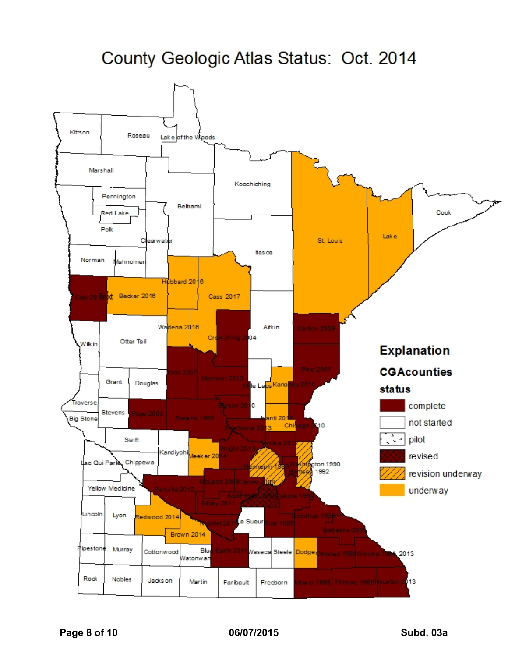# County Geologic Atlas Status: Oct. 2014